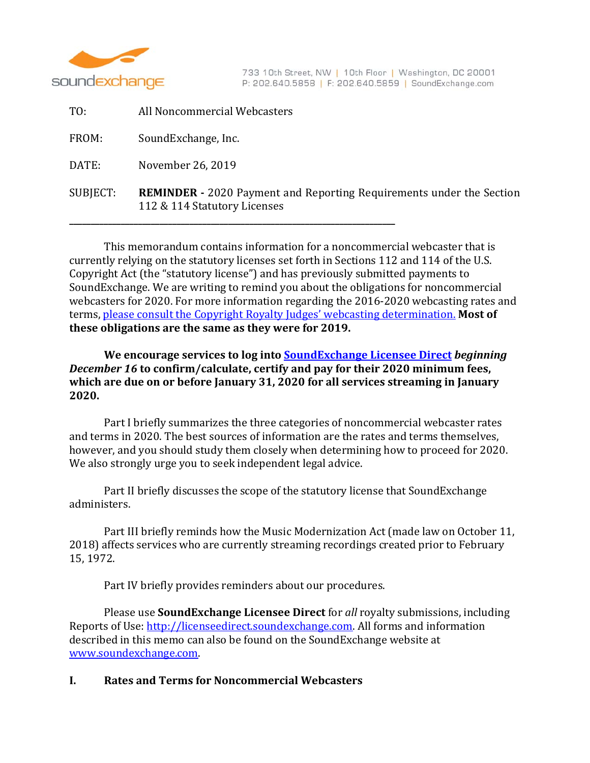

| TO:      | All Noncommercial Webcasters                                                                                |
|----------|-------------------------------------------------------------------------------------------------------------|
| FROM:    | SoundExchange, Inc.                                                                                         |
| DATE:    | November 26, 2019                                                                                           |
| SUBJECT: | <b>REMINDER</b> - 2020 Payment and Reporting Requirements under the Section<br>112 & 114 Statutory Licenses |

This memorandum contains information for a noncommercial webcaster that is currently relying on the statutory licenses set forth in Sections 112 and 114 of the U.S. Copyright Act (the "statutory license") and has previously submitted payments to SoundExchange. We are writing to remind you about the obligations for noncommercial webcasters for 2020. For more information regarding the 2016-2020 webcasting rates and terms, please consult the Copyright Royalty Judges' webcasting determination. Most of **these obligations are the same as they were for 2019.**

# **We encourage services to log into SoundExchange Licensee Direct** *beginning December 16* **to confirm/calculate, certify and pay for their 2020 minimum fees, which are due on or before January 31, 2020 for all services streaming in January 2020.**

Part I briefly summarizes the three categories of noncommercial webcaster rates and terms in 2020. The best sources of information are the rates and terms themselves, however, and you should study them closely when determining how to proceed for 2020. We also strongly urge you to seek independent legal advice.

Part II briefly discusses the scope of the statutory license that SoundExchange administers. 

Part III briefly reminds how the Music Modernization Act (made law on October 11, 2018) affects services who are currently streaming recordings created prior to February 15, 1972. 

Part IV briefly provides reminders about our procedures.

Please use **SoundExchange Licensee Direct** for all royalty submissions, including Reports of Use: http://licenseedirect.soundexchange.com. All forms and information described in this memo can also be found on the SoundExchange website at www.soundexchange.com. 

# **I. Rates and Terms for Noncommercial Webcasters**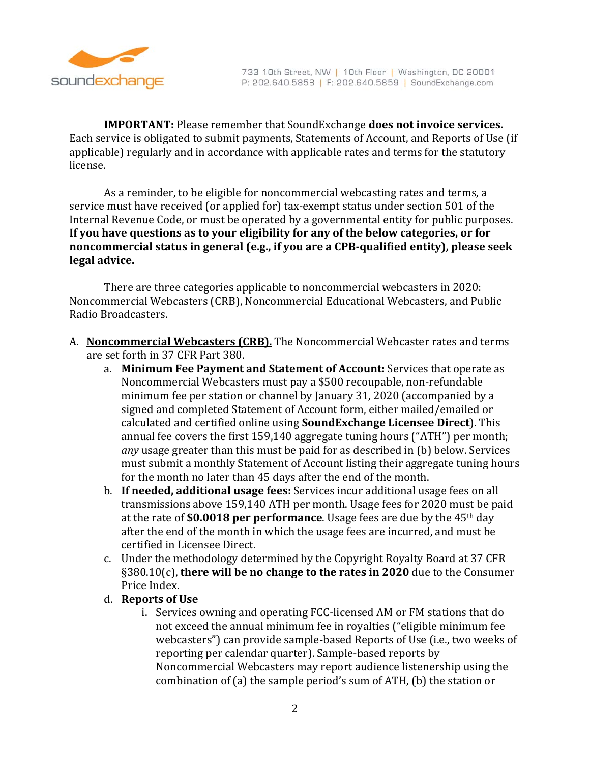

**IMPORTANT:** Please remember that SoundExchange **does not invoice services.** Each service is obligated to submit payments, Statements of Account, and Reports of Use (if applicable) regularly and in accordance with applicable rates and terms for the statutory license.

As a reminder, to be eligible for noncommercial webcasting rates and terms, a service must have received (or applied for) tax-exempt status under section 501 of the Internal Revenue Code, or must be operated by a governmental entity for public purposes. **If you have questions as to your eligibility for any of the below categories, or for noncommercial status in general (e.g., if you are a CPB‐qualified entity), please seek legal advice.**

There are three categories applicable to noncommercial webcasters in 2020: Noncommercial Webcasters (CRB), Noncommercial Educational Webcasters, and Public Radio Broadcasters. 

- A. **Noncommercial Webcasters (CRB).** The Noncommercial Webcaster rates and terms are set forth in 37 CFR Part 380.
	- a. Minimum Fee Payment and Statement of Account: Services that operate as Noncommercial Webcasters must pay a \$500 recoupable, non-refundable minimum fee per station or channel by January 31, 2020 (accompanied by a signed and completed Statement of Account form, either mailed/emailed or calculated and certified online using **SoundExchange Licensee Direct**). This annual fee covers the first 159,140 aggregate tuning hours ("ATH") per month; any usage greater than this must be paid for as described in (b) below. Services must submit a monthly Statement of Account listing their aggregate tuning hours for the month no later than 45 days after the end of the month.
	- **b.** If **needed, additional usage fees:** Services incur additional usage fees on all transmissions above 159,140 ATH per month. Usage fees for 2020 must be paid at the rate of **\$0.0018** per performance. Usage fees are due by the 45<sup>th</sup> day after the end of the month in which the usage fees are incurred, and must be certified in Licensee Direct.
	- c. Under the methodology determined by the Copyright Royalty Board at 37 CFR §380.10(c), **there will be no change to the rates in 2020** due to the Consumer Price Index.
	- d. **Reports of Use**
		- i. Services owning and operating FCC-licensed AM or FM stations that do not exceed the annual minimum fee in royalties ("eligible minimum fee webcasters") can provide sample-based Reports of Use (i.e., two weeks of reporting per calendar quarter). Sample-based reports by Noncommercial Webcasters may report audience listenership using the combination of (a) the sample period's sum of ATH, (b) the station or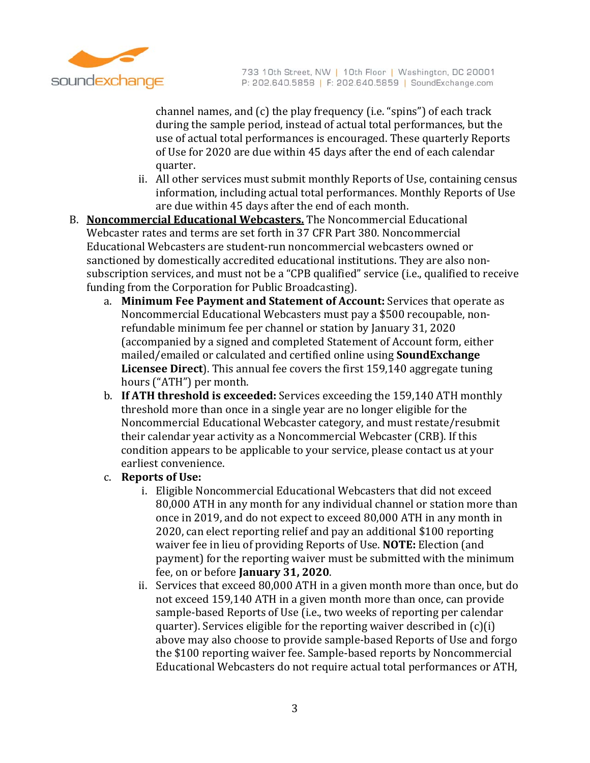

channel names, and  $(c)$  the play frequency (i.e. "spins") of each track during the sample period, instead of actual total performances, but the use of actual total performances is encouraged. These quarterly Reports of Use for 2020 are due within 45 days after the end of each calendar quarter. 

- ii. All other services must submit monthly Reports of Use, containing census information, including actual total performances. Monthly Reports of Use are due within 45 days after the end of each month.
- B. **Noncommercial Educational Webcasters.** The Noncommercial Educational Webcaster rates and terms are set forth in 37 CFR Part 380. Noncommercial Educational Webcasters are student-run noncommercial webcasters owned or sanctioned by domestically accredited educational institutions. They are also nonsubscription services, and must not be a "CPB qualified" service (i.e., qualified to receive funding from the Corporation for Public Broadcasting).
	- a. Minimum Fee Payment and Statement of Account: Services that operate as Noncommercial Educational Webcasters must pay a \$500 recoupable, nonrefundable minimum fee per channel or station by January 31, 2020 (accompanied by a signed and completed Statement of Account form, either mailed/emailed or calculated and certified online using **SoundExchange Licensee Direct**). This annual fee covers the first 159,140 aggregate tuning hours ("ATH") per month.
	- b. **If ATH threshold is exceeded:** Services exceeding the 159,140 ATH monthly threshold more than once in a single year are no longer eligible for the Noncommercial Educational Webcaster category, and must restate/resubmit their calendar year activity as a Noncommercial Webcaster (CRB). If this condition appears to be applicable to your service, please contact us at your earliest convenience.
	- c. **Reports of Use:**
		- i. Eligible Noncommercial Educational Webcasters that did not exceed 80,000 ATH in any month for any individual channel or station more than once in 2019, and do not expect to exceed 80,000 ATH in any month in 2020, can elect reporting relief and pay an additional \$100 reporting waiver fee in lieu of providing Reports of Use. **NOTE:** Election (and payment) for the reporting waiver must be submitted with the minimum fee, on or before **January 31, 2020**.
		- ii. Services that exceed 80,000 ATH in a given month more than once, but do not exceed 159,140 ATH in a given month more than once, can provide sample-based Reports of Use (i.e., two weeks of reporting per calendar quarter). Services eligible for the reporting waiver described in  $(c)(i)$ above may also choose to provide sample-based Reports of Use and forgo the \$100 reporting waiver fee. Sample-based reports by Noncommercial Educational Webcasters do not require actual total performances or ATH,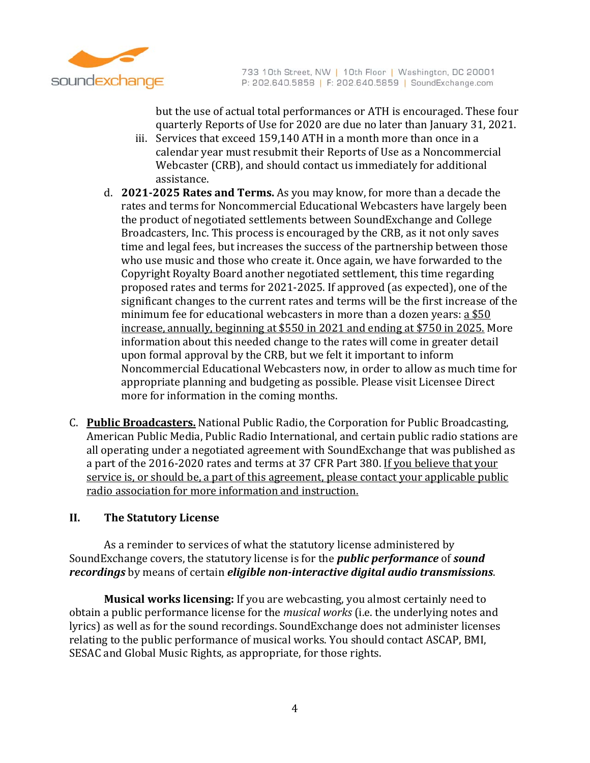

but the use of actual total performances or ATH is encouraged. These four quarterly Reports of Use for 2020 are due no later than January 31, 2021.

- iii. Services that exceed 159,140 ATH in a month more than once in a calendar year must resubmit their Reports of Use as a Noncommercial Webcaster (CRB), and should contact us immediately for additional assistance.
- d. **2021‐2025 Rates and Terms.** As you may know, for more than a decade the rates and terms for Noncommercial Educational Webcasters have largely been the product of negotiated settlements between SoundExchange and College Broadcasters, Inc. This process is encouraged by the CRB, as it not only saves time and legal fees, but increases the success of the partnership between those who use music and those who create it. Once again, we have forwarded to the Copyright Royalty Board another negotiated settlement, this time regarding proposed rates and terms for 2021-2025. If approved (as expected), one of the significant changes to the current rates and terms will be the first increase of the minimum fee for educational webcasters in more than a dozen years:  $a $50$ increase, annually, beginning at \$550 in 2021 and ending at \$750 in 2025. More information about this needed change to the rates will come in greater detail upon formal approval by the CRB, but we felt it important to inform Noncommercial Educational Webcasters now, in order to allow as much time for appropriate planning and budgeting as possible. Please visit Licensee Direct more for information in the coming months.
- C. Public Broadcasters. National Public Radio, the Corporation for Public Broadcasting, American Public Media, Public Radio International, and certain public radio stations are all operating under a negotiated agreement with SoundExchange that was published as a part of the 2016-2020 rates and terms at 37 CFR Part 380. If you believe that your service is, or should be, a part of this agreement, please contact your applicable public radio association for more information and instruction.

# **II. The Statutory License**

As a reminder to services of what the statutory license administered by SoundExchange covers, the statutory license is for the *public performance* of *sound recordings* by means of certain *eligible non‐interactive digital audio transmissions*. 

**Musical works licensing:** If you are webcasting, you almost certainly need to obtain a public performance license for the *musical* works (i.e. the underlying notes and lyrics) as well as for the sound recordings. SoundExchange does not administer licenses relating to the public performance of musical works. You should contact ASCAP, BMI, SESAC and Global Music Rights, as appropriate, for those rights.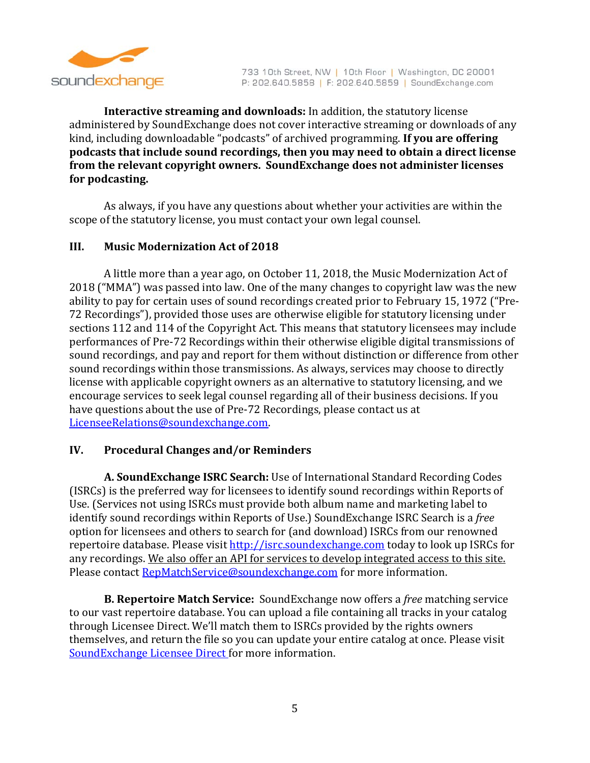

**Interactive streaming and downloads:** In addition, the statutory license administered by SoundExchange does not cover interactive streaming or downloads of any kind, including downloadable "podcasts" of archived programming. If you are offering **podcasts that include sound recordings, then you may need to obtain a direct license from the relevant copyright owners. SoundExchange does not administer licenses for podcasting.**

As always, if you have any questions about whether your activities are within the scope of the statutory license, you must contact your own legal counsel.

## **III. Music Modernization Act of 2018**

A little more than a year ago, on October 11, 2018, the Music Modernization Act of 2018 ("MMA") was passed into law. One of the many changes to copyright law was the new ability to pay for certain uses of sound recordings created prior to February 15, 1972 ("Pre-72 Recordings"), provided those uses are otherwise eligible for statutory licensing under sections 112 and 114 of the Copyright Act. This means that statutory licensees may include performances of Pre-72 Recordings within their otherwise eligible digital transmissions of sound recordings, and pay and report for them without distinction or difference from other sound recordings within those transmissions. As always, services may choose to directly license with applicable copyright owners as an alternative to statutory licensing, and we encourage services to seek legal counsel regarding all of their business decisions. If you have questions about the use of Pre-72 Recordings, please contact us at LicenseeRelations@soundexchange.com. 

# **IV. Procedural Changes and/or Reminders**

A. **SoundExchange ISRC Search:** Use of International Standard Recording Codes (ISRCs) is the preferred way for licensees to identify sound recordings within Reports of Use. (Services not using ISRCs must provide both album name and marketing label to identify sound recordings within Reports of Use.) SoundExchange ISRC Search is a *free* option for licensees and others to search for (and download) ISRCs from our renowned repertoire database. Please visit http://isrc.soundexchange.com today to look up ISRCs for any recordings. We also offer an API for services to develop integrated access to this site. Please contact **RepMatchService@soundexchange.com** for more information.

**B.** Repertoire Match Service: SoundExchange now offers a *free* matching service to our vast repertoire database. You can upload a file containing all tracks in your catalog through Licensee Direct. We'll match them to ISRCs provided by the rights owners themselves, and return the file so you can update your entire catalog at once. Please visit SoundExchange Licensee Direct for more information.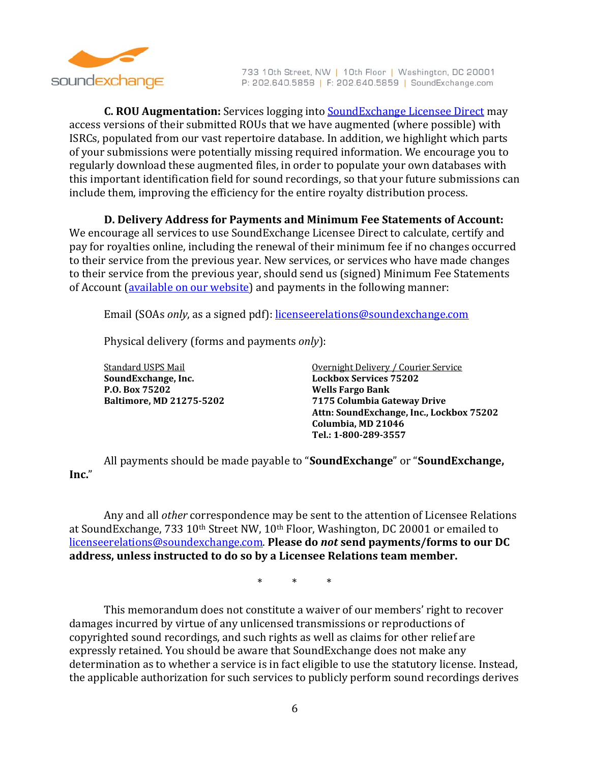

**C. ROU Augmentation:** Services logging into **SoundExchange Licensee Direct** may access versions of their submitted ROUs that we have augmented (where possible) with ISRCs, populated from our vast repertoire database. In addition, we highlight which parts of your submissions were potentially missing required information. We encourage you to regularly download these augmented files, in order to populate your own databases with this important identification field for sound recordings, so that your future submissions can include them, improving the efficiency for the entire royalty distribution process.

**D. Delivery Address for Payments and Minimum Fee Statements of Account:**

We encourage all services to use SoundExchange Licensee Direct to calculate, certify and pay for royalties online, including the renewal of their minimum fee if no changes occurred to their service from the previous vear. New services, or services who have made changes to their service from the previous year, should send us (signed) Minimum Fee Statements of Account (available on our website) and payments in the following manner:

Email (SOAs *only*, as a signed pdf): licenseerelations@soundexchange.com

Physical delivery (forms and payments *only*):

**SoundExchange, Inc. Lockbox Services 75202 P.O. Box 75202 Wells Fargo Bank**

Standard USPS Mail **Standard USPS** Mail **Courier Service Courier** Service **Baltimore, MD 21275‐5202 7175 Columbia Gateway Drive Attn: SoundExchange, Inc., Lockbox 75202 Columbia, MD 21046 Tel.: 1‐800‐289‐3557**

All payments should be made payable to "**SoundExchange**" or "**SoundExchange**, **Inc.**" 

Any and all *other* correspondence may be sent to the attention of Licensee Relations at SoundExchange, 733 10<sup>th</sup> Street NW, 10<sup>th</sup> Floor, Washington, DC 20001 or emailed to licenseerelations@soundexchange.com. **Please do** *not* **send payments/forms to our DC address, unless instructed to do so by a Licensee Relations team member.**

\* \* \* 

This memorandum does not constitute a waiver of our members' right to recover damages incurred by virtue of any unlicensed transmissions or reproductions of copyrighted sound recordings, and such rights as well as claims for other relief are expressly retained. You should be aware that SoundExchange does not make any determination as to whether a service is in fact eligible to use the statutory license. Instead, the applicable authorization for such services to publicly perform sound recordings derives